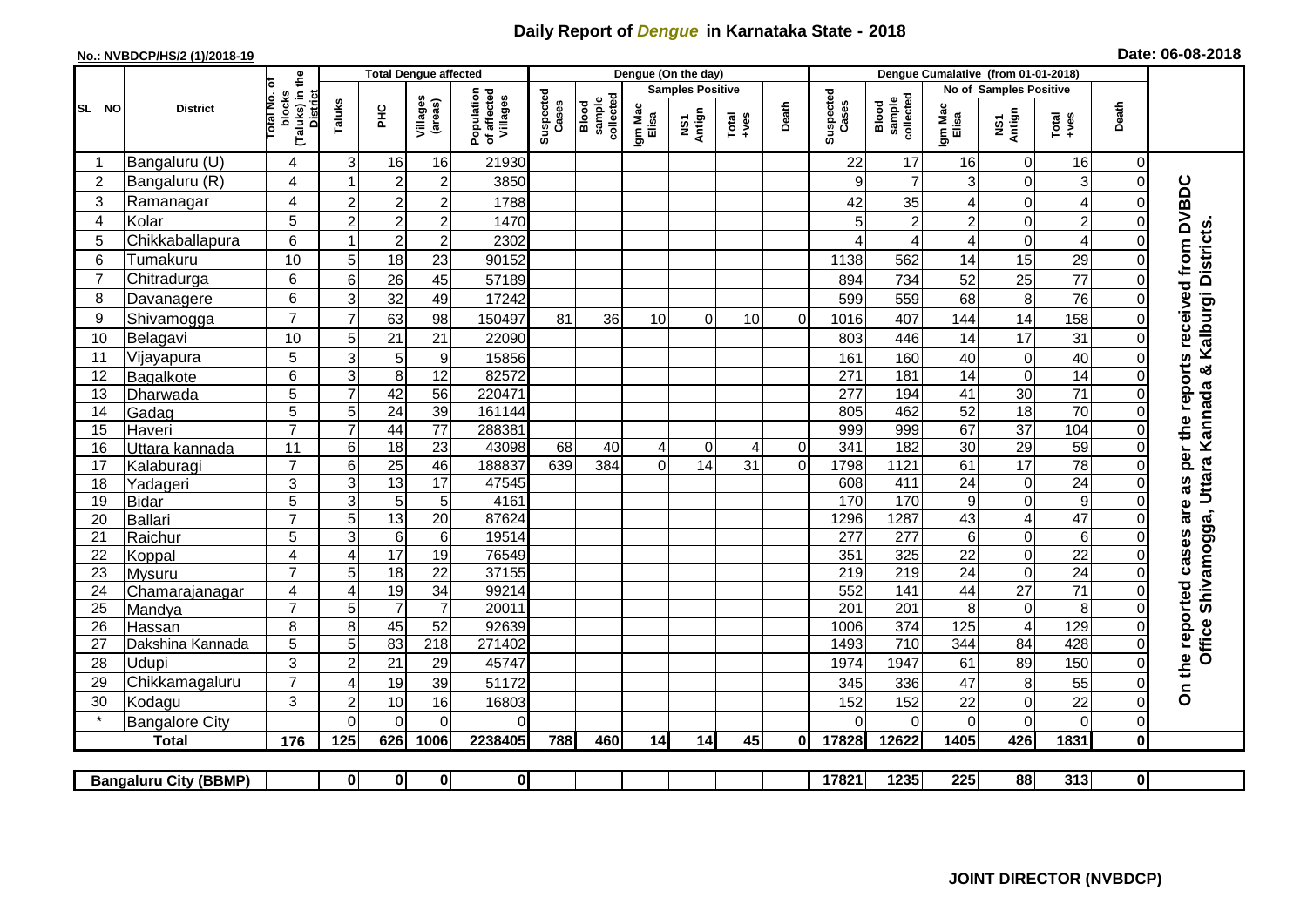## **Daily Report of** *Dengue* **in Karnataka State - 2018**

## **No.: NVBDCP/HS/2 (1)/2018-19 Date: 06-08-2018**

|                | <b>District</b>              |                                                       | <b>Total Dengue affected</b>       |                       |                                       |                         |                              |                  | Dengue (On the day)     |          |       |                    |                              |                  |                        |                               |                           |                      |                                        |
|----------------|------------------------------|-------------------------------------------------------|------------------------------------|-----------------------|---------------------------------------|-------------------------|------------------------------|------------------|-------------------------|----------|-------|--------------------|------------------------------|------------------|------------------------|-------------------------------|---------------------------|----------------------|----------------------------------------|
|                |                              |                                                       |                                    |                       |                                       |                         |                              |                  | <b>Samples Positive</b> |          |       |                    |                              |                  | No of Samples Positive |                               |                           |                      |                                        |
| SL NO          |                              | (Taluks) in the<br>District<br>Total No. of<br>blocks | Villages<br>(areas)<br>Taluks<br>Ξ |                       | Population<br>of affected<br>Villages | Suspected<br>Cases      | sample<br>collected<br>Blood | Igm Mac<br>Elisa | NS1<br>Antign           | $Totael$ | Death | Suspected<br>Cases | collected<br>Blood<br>sample | Igm Mac<br>Elisa | NS1<br>Antign          | Total<br>+ves                 | Death                     |                      |                                        |
|                | Bangaluru (U)                | 4                                                     | 3                                  | 16                    | 16                                    | 21930                   |                              |                  |                         |          |       |                    | 22                           | 17               | 16                     | $\mathbf 0$                   | 16                        | $\Omega$             |                                        |
| $\overline{2}$ | Bangaluru (R)                | $\overline{4}$                                        |                                    | $\overline{2}$        | $\overline{c}$                        | 3850                    |                              |                  |                         |          |       |                    | 9                            | $\overline{7}$   | 3                      | $\mathbf 0$                   | $\ensuremath{\mathsf{3}}$ | $\Omega$             |                                        |
| 3              | Ramanagar                    | 4                                                     | $\overline{2}$                     | $\overline{c}$        | $\overline{c}$                        | 1788                    |                              |                  |                         |          |       |                    | 42                           | 35               | 4                      | $\overline{0}$                | $\overline{\mathcal{A}}$  | $\Omega$             | as per the reports received from DVBDC |
| 4              | Kolar                        | 5                                                     | $\overline{c}$                     | $\overline{c}$        | $\boldsymbol{2}$                      | 1470                    |                              |                  |                         |          |       |                    | 5                            | $\overline{c}$   | $\overline{c}$         | $\mathbf 0$                   | $\overline{c}$            | $\Omega$             |                                        |
| 5              | Chikkaballapura              | 6                                                     |                                    | $\overline{c}$        | $\mathbf 2$                           | 2302                    |                              |                  |                         |          |       |                    |                              | 4                | 4                      | $\mathbf 0$                   | 4                         | $\Omega$             | Kalburgi Districts                     |
| 6              | Tumakuru                     | 10                                                    | 5                                  | 18                    | 23                                    | 90152                   |                              |                  |                         |          |       |                    | 1138                         | 562              | 14                     | 15                            | 29                        | $\Omega$             |                                        |
| $\overline{7}$ | Chitradurga                  | 6                                                     | 6                                  | 26                    | 45                                    | 57189                   |                              |                  |                         |          |       |                    | 894                          | 734              | 52                     | 25                            | 77                        | $\Omega$             |                                        |
| 8              | Davanagere                   | 6                                                     | 3                                  | 32                    | 49                                    | 17242                   |                              |                  |                         |          |       |                    | 599                          | 559              | 68                     | 8                             | 76                        | $\Omega$             |                                        |
| 9              | Shivamogga                   | $\overline{7}$                                        | $\overline{7}$                     | 63                    | 98                                    | 150497                  | 81                           | 36               | 10                      | $\Omega$ | 10    | $\Omega$           | 1016                         | 407              | 144                    | 14                            | 158                       | $\Omega$             |                                        |
| 10             | Belagavi                     | 10                                                    | 5                                  | 21                    | 21                                    | 22090                   |                              |                  |                         |          |       |                    | 803                          | 446              | 14                     | 17                            | 31                        | $\Omega$             |                                        |
| 11             | Vijayapura                   | 5                                                     | 3                                  | 5                     | $\boldsymbol{9}$                      | 15856                   |                              |                  |                         |          |       |                    | 161                          | 160              | 40                     | $\mathbf 0$                   | 40                        | $\Omega$             |                                        |
| 12             | Bagalkote                    | 6                                                     | 3                                  | 8                     | 12                                    | 82572                   |                              |                  |                         |          |       |                    | 271                          | 181              | 14                     | $\mathbf 0$                   | 14                        | $\Omega$             | Shivamogga, Uttara Kannada &           |
| 13             | Dharwada                     | 5                                                     | $\overline{7}$                     | 42                    | $\overline{56}$                       | 220471                  |                              |                  |                         |          |       |                    | 277                          | 194              | 41                     | 30                            | $\overline{71}$           | $\Omega$             |                                        |
| 14             | Gadag                        | $\overline{5}$                                        | 5                                  | $\overline{24}$       | 39                                    | 161144                  |                              |                  |                         |          |       |                    | 805                          | 462              | 52                     | 18                            | 70                        | $\Omega$             |                                        |
| 15             | Haveri                       | $\overline{7}$                                        | $\overline{7}$                     | 44                    | $\overline{77}$                       | 288381                  |                              |                  |                         |          |       |                    | 999                          | 999              | 67                     | $\overline{37}$               | 104                       | $\mathbf 0$          |                                        |
| 16             | Uttara kannada               | 11                                                    | 6                                  | $\overline{18}$       | $\overline{23}$                       | 43098                   | 68                           | 40               | 4                       | $\Omega$ | 4     | $\Omega$           | 341                          | 182              | 30                     | 29                            | 59                        | $\Omega$             |                                        |
| 17             | Kalaburagi                   | $\overline{7}$                                        | 6                                  | 25                    | 46                                    | 188837                  | 639                          | 384              | $\Omega$                | 14       | 31    | $\Omega$           | 1798                         | 1121             | 61                     | $\overline{17}$               | $\overline{78}$           | 0                    |                                        |
| 18             | Yadageri                     | 3                                                     | 3                                  | 13                    | 17                                    | 47545                   |                              |                  |                         |          |       |                    | 608                          | 411              | 24                     | $\mathbf 0$                   | $\overline{24}$           |                      |                                        |
| 19             | Bidar                        | $\overline{5}$                                        | 3                                  | 5                     | 5                                     | 4161                    |                              |                  |                         |          |       |                    | 170                          | 170              | $\boldsymbol{9}$       | $\mathbf 0$                   | $\overline{9}$            | $\Omega$             | are                                    |
| 20             | Ballari                      | $\overline{7}$                                        | 5                                  | 13                    | $\overline{20}$                       | 87624                   |                              |                  |                         |          |       |                    | 1296                         | 1287             | 43                     | $\overline{\mathcal{A}}$      | 47                        | $\Omega$             |                                        |
| 21             | Raichur                      | $\overline{5}$                                        | $\overline{3}$                     | $6\phantom{1}6$       | $\,6$                                 | 19514                   |                              |                  |                         |          |       |                    | $\overline{277}$             | 277              | $6\phantom{a}$         | $\overline{0}$                | $\overline{6}$            | $\Omega$             |                                        |
| 22             | Koppal                       | 4                                                     | $\overline{4}$                     | 17                    | 19                                    | 76549<br>37155          |                              |                  |                         |          |       |                    | 351<br>$\overline{219}$      | 325              | $\overline{22}$        | $\mathbf 0$<br>$\overline{0}$ | $\overline{22}$<br>24     | 0                    |                                        |
| 23<br>24       | Mysuru                       | $\overline{7}$<br>$\overline{4}$                      | 5<br>$\overline{4}$                | $\overline{18}$<br>19 | $\overline{22}$<br>$\overline{34}$    | 99214                   |                              |                  |                         |          |       |                    | 552                          | 219<br>141       | $\overline{24}$<br>44  | $\overline{27}$               | $\overline{71}$           | $\Omega$<br>$\Omega$ |                                        |
| 25             | Chamarajanagar<br>Mandya     | $\overline{7}$                                        | 5                                  | $\overline{7}$        | $\overline{7}$                        | 20011                   |                              |                  |                         |          |       |                    | $\overline{201}$             | $\overline{201}$ | 8                      | $\boldsymbol{0}$              | 8                         | $\Omega$             |                                        |
| 26             | Hassan                       | 8                                                     | 8                                  | 45                    | 52                                    | 92639                   |                              |                  |                         |          |       |                    | 1006                         | 374              | 125                    | $\overline{4}$                | 129                       | $\Omega$             |                                        |
| 27             | Dakshina Kannada             | 5                                                     | 5                                  | 83                    | 218                                   | 271402                  |                              |                  |                         |          |       |                    | 1493                         | $\overline{710}$ | 344                    | 84                            | 428                       | $\mathbf 0$          |                                        |
| 28             | Udupi                        | 3                                                     | $\overline{2}$                     | 21                    | 29                                    | 45747                   |                              |                  |                         |          |       |                    | 1974                         | 1947             | 61                     | 89                            | 150                       | $\Omega$             | Office:                                |
| 29             | Chikkamagaluru               | $\overline{7}$                                        | 4                                  | 19                    | 39                                    | 51172                   |                              |                  |                         |          |       |                    | 345                          | 336              | 47                     | 8                             | 55                        | 0                    |                                        |
| 30             | Kodagu                       | 3                                                     | $\overline{2}$                     | 10                    | 16                                    | 16803                   |                              |                  |                         |          |       |                    | 152                          | 152              | 22                     | $\mathbf 0$                   | 22                        | 0                    | On the reported cases                  |
|                | <b>Bangalore City</b>        |                                                       | $\Omega$                           | $\Omega$              | $\Omega$                              | 0                       |                              |                  |                         |          |       |                    | $\Omega$                     | $\Omega$         | $\Omega$               | $\mathbf 0$                   | $\mathbf 0$               | $\Omega$             |                                        |
|                | <b>Total</b>                 | 176                                                   | 125                                | 626                   | 1006                                  | 2238405                 | 788                          | 460              | 14                      | 14       | 45    | ΟI                 | 17828                        | 12622            | 1405                   | 426                           | 1831                      | 0                    |                                        |
|                |                              |                                                       |                                    |                       |                                       |                         |                              |                  |                         |          |       |                    |                              |                  |                        |                               |                           |                      |                                        |
|                | <b>Bangaluru City (BBMP)</b> |                                                       | $\mathbf{0}$                       | $\mathbf{0}$          | $\mathbf{0}$                          | $\overline{\mathbf{0}}$ |                              |                  |                         |          |       |                    | 17821                        | 1235             | 225                    | 88                            | 313                       | $\mathbf{0}$         |                                        |